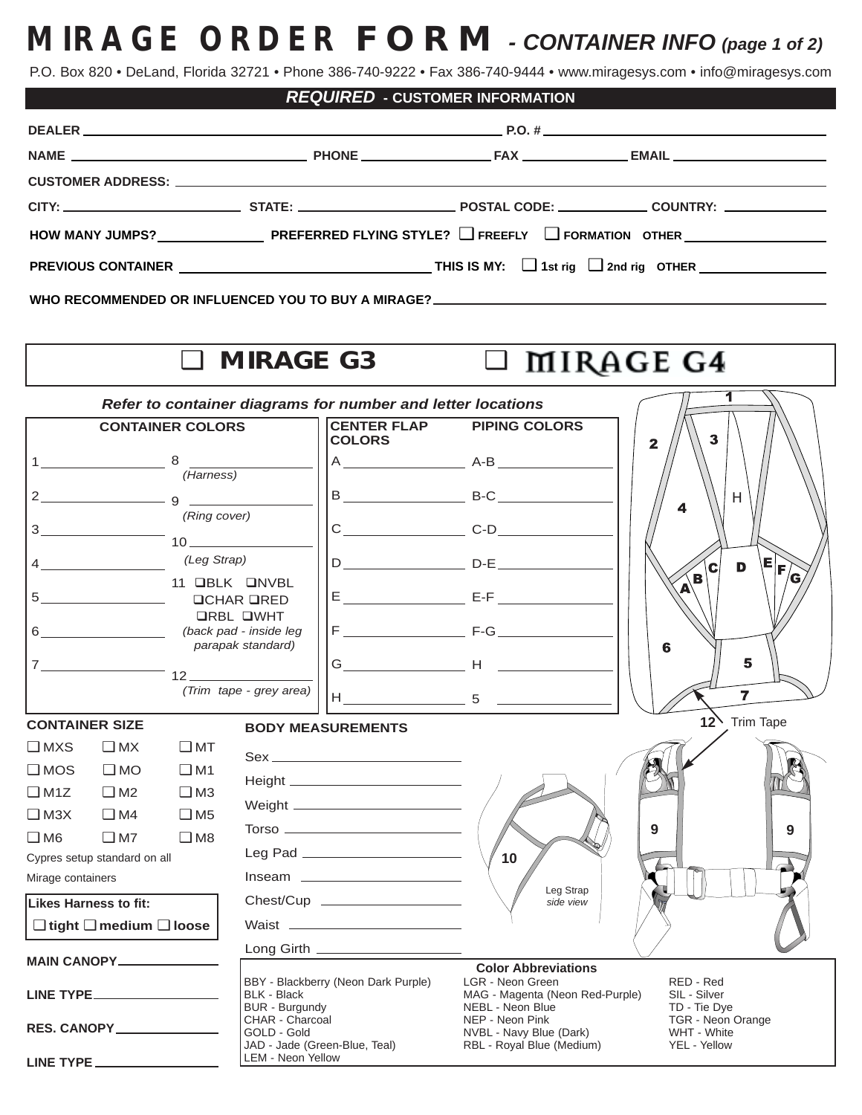## **MIRAGE ORDER FORM** - CONTAINER INFO (page 1 of 2)

P.O. Box 820 • DeLand, Florida 32721 • Phone 386-740-9222 • Fax 386-740-9444 • www.miragesys.com • info@miragesys.com

| <b>REQUIRED - CUSTOMER INFORMATION</b> |        |  |
|----------------------------------------|--------|--|
|                                        | P.O. # |  |
|                                        |        |  |

| HOW MANY JUMPS? PREFERRED FLYING STYLE? $\square$ freefly $\square$ formation other $\square$ |  |  |  |
|-----------------------------------------------------------------------------------------------|--|--|--|
|                                                                                               |  |  |  |

**WHO RECOMMENDED OR INFLUENCED YOU TO BUY A MIRAGE?**

**DEALER** \_\_\_\_\_\_\_

## ❑ **MIRAGE G3** ❑

## MIRAGE G4